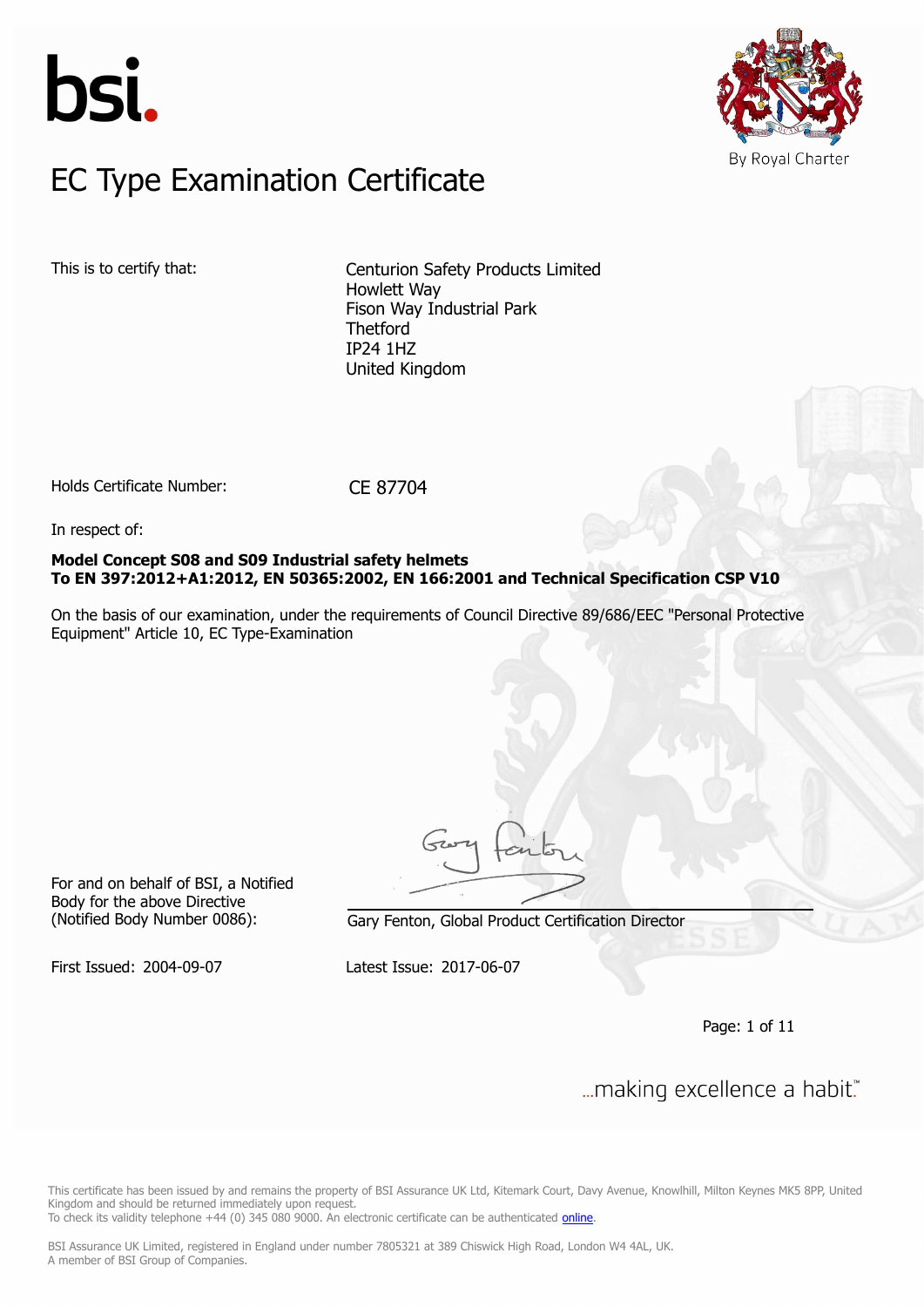



### $FC$  Type Examination Certific EC Type Examination Certificate

This is to certify that: Centurion Safety Products Limited Howlett Way Fison Way Industrial Park Thetford IP24 1HZ United Kingdom

Holds Certificate Number: CE 87704

In respect of:

**Model Concept S08 and S09 Industrial safety helmets To EN 397:2012+A1:2012, EN 50365:2002, EN 166:2001 and Technical Specification CSP V10**

On the basis of our examination, under the requirements of Council Directive 89/686/EEC "Personal Protective Equipment" Article 10, EC Type-Examination

For and on behalf of BSI, a Notified Body for the above Directive

(Notified Body Number 0086): Gary Fenton, Global Product Certification Director

First Issued: 2004-09-07 Latest Issue: 2017-06-07

Page: 1 of 11

... making excellence a habit."

This certificate has been issued by and remains the property of BSI Assurance UK Ltd, Kitemark Court, Davy Avenue, Knowlhill, Milton Keynes MK5 8PP, United Kingdom and should be returned immediately upon request.

To check its validity telephone +44 (0) 345 080 9000. An electronic certificate can be authenticated *[online](https://pgplus.bsigroup.com/CertificateValidation/CertificateValidator.aspx?CertificateNumber=CE+87704&ReIssueDate=07%2f06%2f2017&Template=uk)*.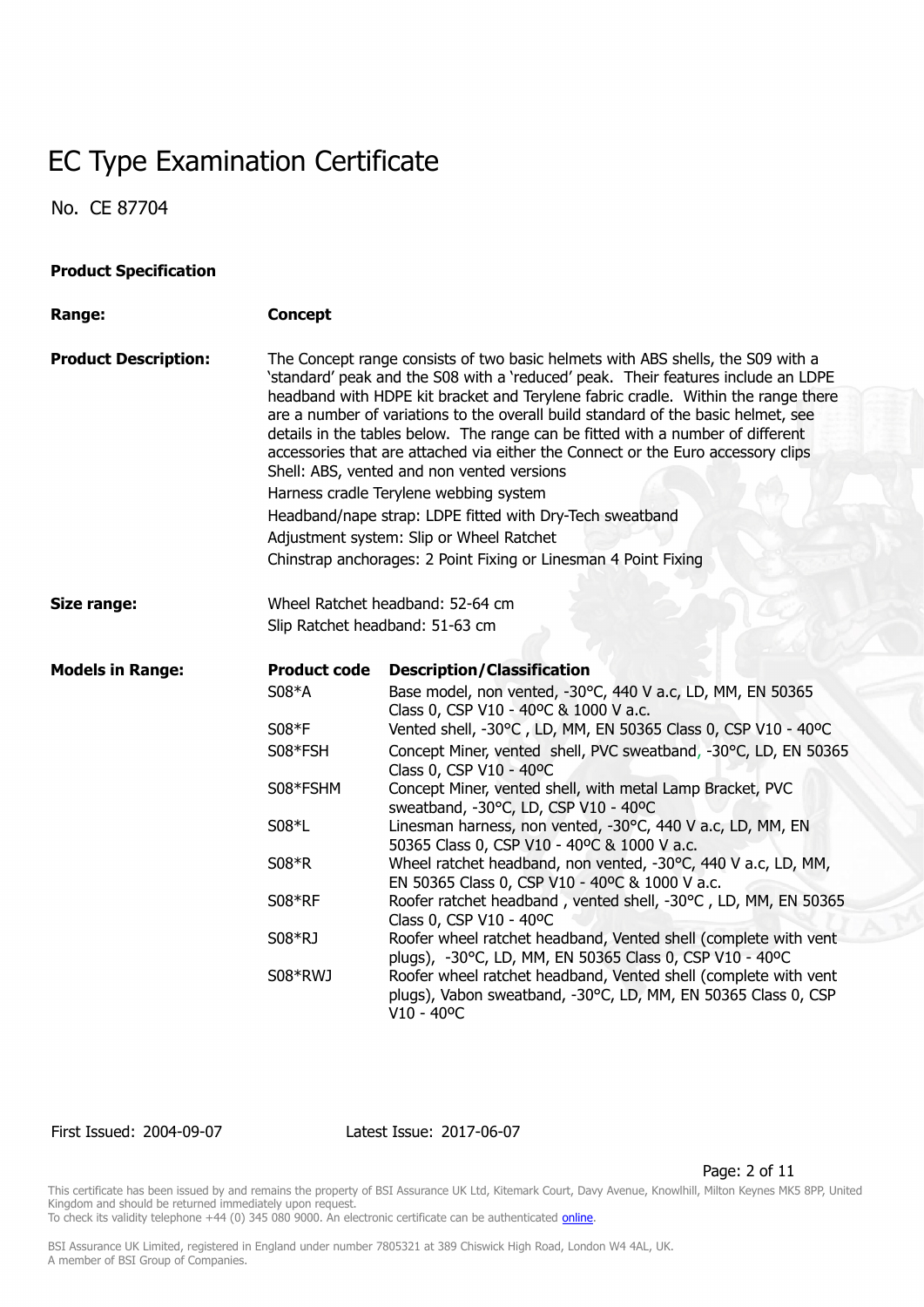No. CE 87704

| <b>Product Specification</b> |                     |                                                                                                                                                                                                                                                                                                                                                                                                                                                                                                                                                                                                                                                                                                                                                                                          |  |  |
|------------------------------|---------------------|------------------------------------------------------------------------------------------------------------------------------------------------------------------------------------------------------------------------------------------------------------------------------------------------------------------------------------------------------------------------------------------------------------------------------------------------------------------------------------------------------------------------------------------------------------------------------------------------------------------------------------------------------------------------------------------------------------------------------------------------------------------------------------------|--|--|
| Range:                       | <b>Concept</b>      |                                                                                                                                                                                                                                                                                                                                                                                                                                                                                                                                                                                                                                                                                                                                                                                          |  |  |
| <b>Product Description:</b>  |                     | The Concept range consists of two basic helmets with ABS shells, the S09 with a<br>'standard' peak and the S08 with a 'reduced' peak. Their features include an LDPE<br>headband with HDPE kit bracket and Terylene fabric cradle. Within the range there<br>are a number of variations to the overall build standard of the basic helmet, see<br>details in the tables below. The range can be fitted with a number of different<br>accessories that are attached via either the Connect or the Euro accessory clips<br>Shell: ABS, vented and non vented versions<br>Harness cradle Terylene webbing system<br>Headband/nape strap: LDPE fitted with Dry-Tech sweatband<br>Adjustment system: Slip or Wheel Ratchet<br>Chinstrap anchorages: 2 Point Fixing or Linesman 4 Point Fixing |  |  |
|                              |                     |                                                                                                                                                                                                                                                                                                                                                                                                                                                                                                                                                                                                                                                                                                                                                                                          |  |  |
| Size range:                  |                     | Wheel Ratchet headband: 52-64 cm<br>Slip Ratchet headband: 51-63 cm                                                                                                                                                                                                                                                                                                                                                                                                                                                                                                                                                                                                                                                                                                                      |  |  |
| <b>Models in Range:</b>      | <b>Product code</b> | <b>Description/Classification</b>                                                                                                                                                                                                                                                                                                                                                                                                                                                                                                                                                                                                                                                                                                                                                        |  |  |
|                              | S08*A               | Base model, non vented, -30°C, 440 V a.c, LD, MM, EN 50365<br>Class 0, CSP V10 - 40°C & 1000 V a.c.                                                                                                                                                                                                                                                                                                                                                                                                                                                                                                                                                                                                                                                                                      |  |  |
|                              | S08*F               | Vented shell, -30°C, LD, MM, EN 50365 Class 0, CSP V10 - 40°C                                                                                                                                                                                                                                                                                                                                                                                                                                                                                                                                                                                                                                                                                                                            |  |  |
|                              | S08*FSH             | Concept Miner, vented shell, PVC sweatband, -30°C, LD, EN 50365<br>Class 0, CSP V10 - 40°C                                                                                                                                                                                                                                                                                                                                                                                                                                                                                                                                                                                                                                                                                               |  |  |
|                              | S08*FSHM            | Concept Miner, vented shell, with metal Lamp Bracket, PVC<br>sweatband, -30°C, LD, CSP V10 - 40°C                                                                                                                                                                                                                                                                                                                                                                                                                                                                                                                                                                                                                                                                                        |  |  |
|                              | S08*L               | Linesman harness, non vented, -30°C, 440 V a.c, LD, MM, EN<br>50365 Class 0, CSP V10 - 40°C & 1000 V a.c.                                                                                                                                                                                                                                                                                                                                                                                                                                                                                                                                                                                                                                                                                |  |  |
|                              | S08*R               | Wheel ratchet headband, non vented, -30°C, 440 V a.c, LD, MM,<br>EN 50365 Class 0, CSP V10 - 40°C & 1000 V a.c.                                                                                                                                                                                                                                                                                                                                                                                                                                                                                                                                                                                                                                                                          |  |  |
|                              | S08*RF              | Roofer ratchet headband, vented shell, -30°C, LD, MM, EN 50365<br>Class 0, CSP V10 - 40°C                                                                                                                                                                                                                                                                                                                                                                                                                                                                                                                                                                                                                                                                                                |  |  |
|                              | S08*RJ              | Roofer wheel ratchet headband, Vented shell (complete with vent<br>plugs), -30°C, LD, MM, EN 50365 Class 0, CSP V10 - 40°C                                                                                                                                                                                                                                                                                                                                                                                                                                                                                                                                                                                                                                                               |  |  |
|                              | S08*RWJ             | Roofer wheel ratchet headband, Vented shell (complete with vent<br>plugs), Vabon sweatband, -30°C, LD, MM, EN 50365 Class 0, CSP<br>$V10 - 40^{\circ}C$                                                                                                                                                                                                                                                                                                                                                                                                                                                                                                                                                                                                                                  |  |  |

First Issued: 2004-09-07 Latest Issue: 2017-06-07

Page: 2 of 11

This certificate has been issued by and remains the property of BSI Assurance UK Ltd, Kitemark Court, Davy Avenue, Knowlhill, Milton Keynes MK5 8PP, United Kingdom and should be returned immediately upon request.

To check its validity telephone +44 (0) 345 080 9000. An electronic certificate can be authenticated *[online](https://pgplus.bsigroup.com/CertificateValidation/CertificateValidator.aspx?CertificateNumber=CE+87704&ReIssueDate=07%2f06%2f2017&Template=uk)*.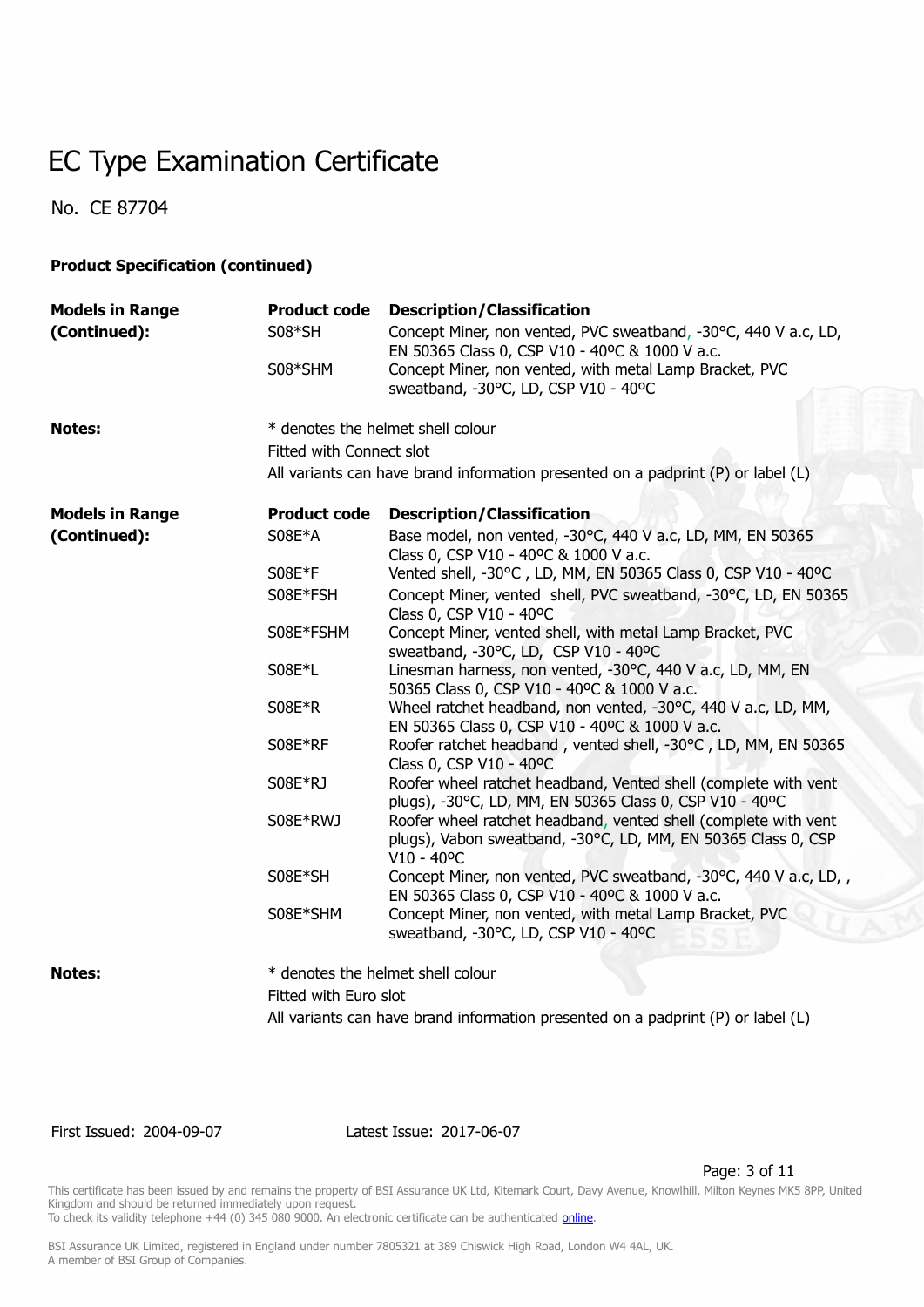No. CE 87704

#### **Product Specification (continued)**

| <b>Models in Range</b> | <b>Product code</b>                                                              | <b>Description/Classification</b>                                                                                                                       |  |
|------------------------|----------------------------------------------------------------------------------|---------------------------------------------------------------------------------------------------------------------------------------------------------|--|
| (Continued):           | S08*SH                                                                           | Concept Miner, non vented, PVC sweatband, -30°C, 440 V a.c, LD,                                                                                         |  |
|                        |                                                                                  | EN 50365 Class 0, CSP V10 - 40°C & 1000 V a.c.                                                                                                          |  |
|                        | S08*SHM                                                                          | Concept Miner, non vented, with metal Lamp Bracket, PVC                                                                                                 |  |
|                        |                                                                                  | sweatband, -30°C, LD, CSP V10 - 40°C                                                                                                                    |  |
| <b>Notes:</b>          |                                                                                  | * denotes the helmet shell colour                                                                                                                       |  |
|                        | Fitted with Connect slot                                                         |                                                                                                                                                         |  |
|                        |                                                                                  | All variants can have brand information presented on a padprint (P) or label (L)                                                                        |  |
| <b>Models in Range</b> | <b>Product code</b>                                                              | <b>Description/Classification</b>                                                                                                                       |  |
| (Continued):           | S08E*A                                                                           | Base model, non vented, -30°C, 440 V a.c, LD, MM, EN 50365                                                                                              |  |
|                        |                                                                                  | Class 0, CSP V10 - 40°C & 1000 V a.c.                                                                                                                   |  |
|                        | S08E*F                                                                           | Vented shell, -30°C, LD, MM, EN 50365 Class 0, CSP V10 - 40°C                                                                                           |  |
|                        | S08E*FSH                                                                         | Concept Miner, vented shell, PVC sweatband, -30°C, LD, EN 50365<br>Class 0, CSP V10 - 40°C                                                              |  |
|                        | S08E*FSHM                                                                        | Concept Miner, vented shell, with metal Lamp Bracket, PVC<br>sweatband, -30°C, LD, CSP V10 - 40°C                                                       |  |
|                        | S08E*L                                                                           | Linesman harness, non vented, -30°C, 440 V a.c, LD, MM, EN<br>50365 Class 0, CSP V10 - 40°C & 1000 V a.c.                                               |  |
|                        | S08E*R                                                                           | Wheel ratchet headband, non vented, -30°C, 440 V a.c, LD, MM,<br>EN 50365 Class 0, CSP V10 - 40°C & 1000 V a.c.                                         |  |
|                        | S08E*RF                                                                          | Roofer ratchet headband, vented shell, -30°C, LD, MM, EN 50365<br>Class 0, CSP V10 - 40°C                                                               |  |
|                        | S08E*RJ                                                                          | Roofer wheel ratchet headband, Vented shell (complete with vent<br>plugs), -30°C, LD, MM, EN 50365 Class 0, CSP V10 - 40°C                              |  |
|                        | S08E*RWJ                                                                         | Roofer wheel ratchet headband, vented shell (complete with vent<br>plugs), Vabon sweatband, -30°C, LD, MM, EN 50365 Class 0, CSP<br>$V10 - 40^{\circ}C$ |  |
|                        | S08E*SH                                                                          | Concept Miner, non vented, PVC sweatband, -30°C, 440 V a.c, LD,<br>EN 50365 Class 0, CSP V10 - 40°C & 1000 V a.c.                                       |  |
|                        | S08E*SHM                                                                         | Concept Miner, non vented, with metal Lamp Bracket, PVC<br>sweatband, -30°C, LD, CSP V10 - 40°C                                                         |  |
| <b>Notes:</b>          |                                                                                  | * denotes the helmet shell colour                                                                                                                       |  |
|                        | Fitted with Euro slot                                                            |                                                                                                                                                         |  |
|                        | All variants can have brand information presented on a padprint (P) or label (L) |                                                                                                                                                         |  |

First Issued: 2004-09-07 Latest Issue: 2017-06-07

Page: 3 of 11

This certificate has been issued by and remains the property of BSI Assurance UK Ltd, Kitemark Court, Davy Avenue, Knowlhill, Milton Keynes MK5 8PP, United Kingdom and should be returned immediately upon request.

To check its validity telephone +44 (0) 345 080 9000. An electronic certificate can be authenticated *[online](https://pgplus.bsigroup.com/CertificateValidation/CertificateValidator.aspx?CertificateNumber=CE+87704&ReIssueDate=07%2f06%2f2017&Template=uk)*.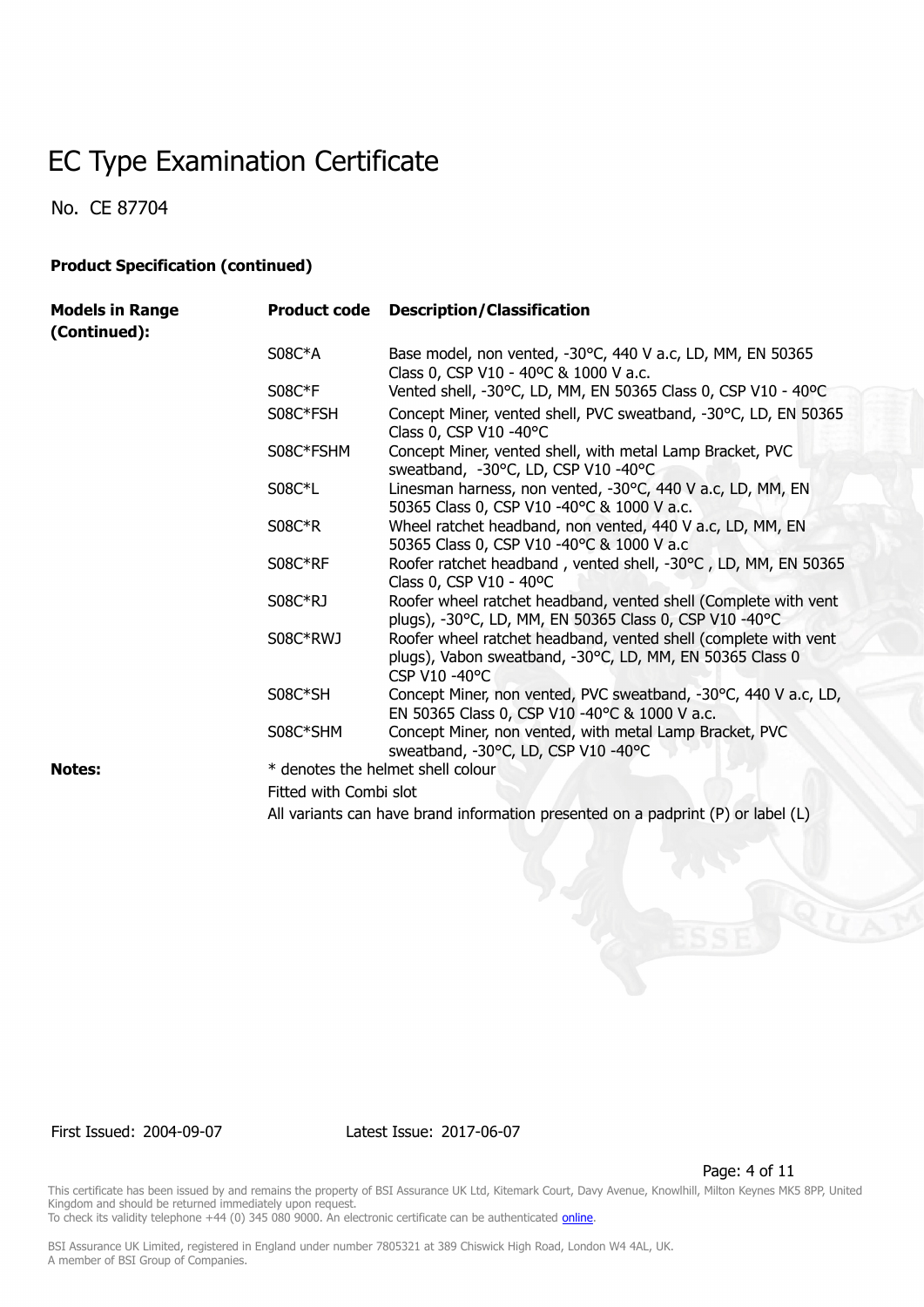No. CE 87704

#### **Product Specification (continued)**

| <b>Models in Range</b><br>(Continued): |                                   | <b>Product code</b> Description/Classification                                                                                               |  |
|----------------------------------------|-----------------------------------|----------------------------------------------------------------------------------------------------------------------------------------------|--|
|                                        | $S08C*A$                          | Base model, non vented, -30°C, 440 V a.c, LD, MM, EN 50365<br>Class 0, CSP V10 - 40°C & 1000 V a.c.                                          |  |
|                                        | $S08C*F$                          | Vented shell, -30°C, LD, MM, EN 50365 Class 0, CSP V10 - 40°C                                                                                |  |
|                                        | S08C*FSH                          | Concept Miner, vented shell, PVC sweatband, -30°C, LD, EN 50365<br>Class 0, CSP V10 -40°C                                                    |  |
|                                        | S08C*FSHM                         | Concept Miner, vented shell, with metal Lamp Bracket, PVC<br>sweatband, -30°C, LD, CSP V10 -40°C                                             |  |
|                                        | S08C*L                            | Linesman harness, non vented, -30°C, 440 V a.c, LD, MM, EN<br>50365 Class 0, CSP V10 -40°C & 1000 V a.c.                                     |  |
|                                        | $S08C*R$                          | Wheel ratchet headband, non vented, 440 V a.c, LD, MM, EN<br>50365 Class 0, CSP V10 -40°C & 1000 V a.c                                       |  |
|                                        | S08C*RF                           | Roofer ratchet headband, vented shell, -30°C, LD, MM, EN 50365<br>Class 0, CSP V10 - 40°C                                                    |  |
|                                        | S08C*RJ                           | Roofer wheel ratchet headband, vented shell (Complete with vent<br>plugs), -30°C, LD, MM, EN 50365 Class 0, CSP V10 -40°C                    |  |
|                                        | S08C*RWJ                          | Roofer wheel ratchet headband, vented shell (complete with vent<br>plugs), Vabon sweatband, -30°C, LD, MM, EN 50365 Class 0<br>CSP V10 -40°C |  |
|                                        | S08C*SH                           | Concept Miner, non vented, PVC sweatband, -30°C, 440 V a.c, LD,<br>EN 50365 Class 0, CSP V10 -40°C & 1000 V a.c.                             |  |
|                                        | S08C*SHM                          | Concept Miner, non vented, with metal Lamp Bracket, PVC<br>sweatband, -30°C, LD, CSP V10 -40°C                                               |  |
| <b>Notes:</b>                          | * denotes the helmet shell colour |                                                                                                                                              |  |
|                                        | Fitted with Combi slot            |                                                                                                                                              |  |
|                                        |                                   | All variants can have brand information presented on a padprint (P) or label (L)                                                             |  |

First Issued: 2004-09-07 Latest Issue: 2017-06-07

Page: 4 of 11

This certificate has been issued by and remains the property of BSI Assurance UK Ltd, Kitemark Court, Davy Avenue, Knowlhill, Milton Keynes MK5 8PP, United Kingdom and should be returned immediately upon request. To check its validity telephone +44 (0) 345 080 9000. An electronic certificate can be authenticated *[online](https://pgplus.bsigroup.com/CertificateValidation/CertificateValidator.aspx?CertificateNumber=CE+87704&ReIssueDate=07%2f06%2f2017&Template=uk)*.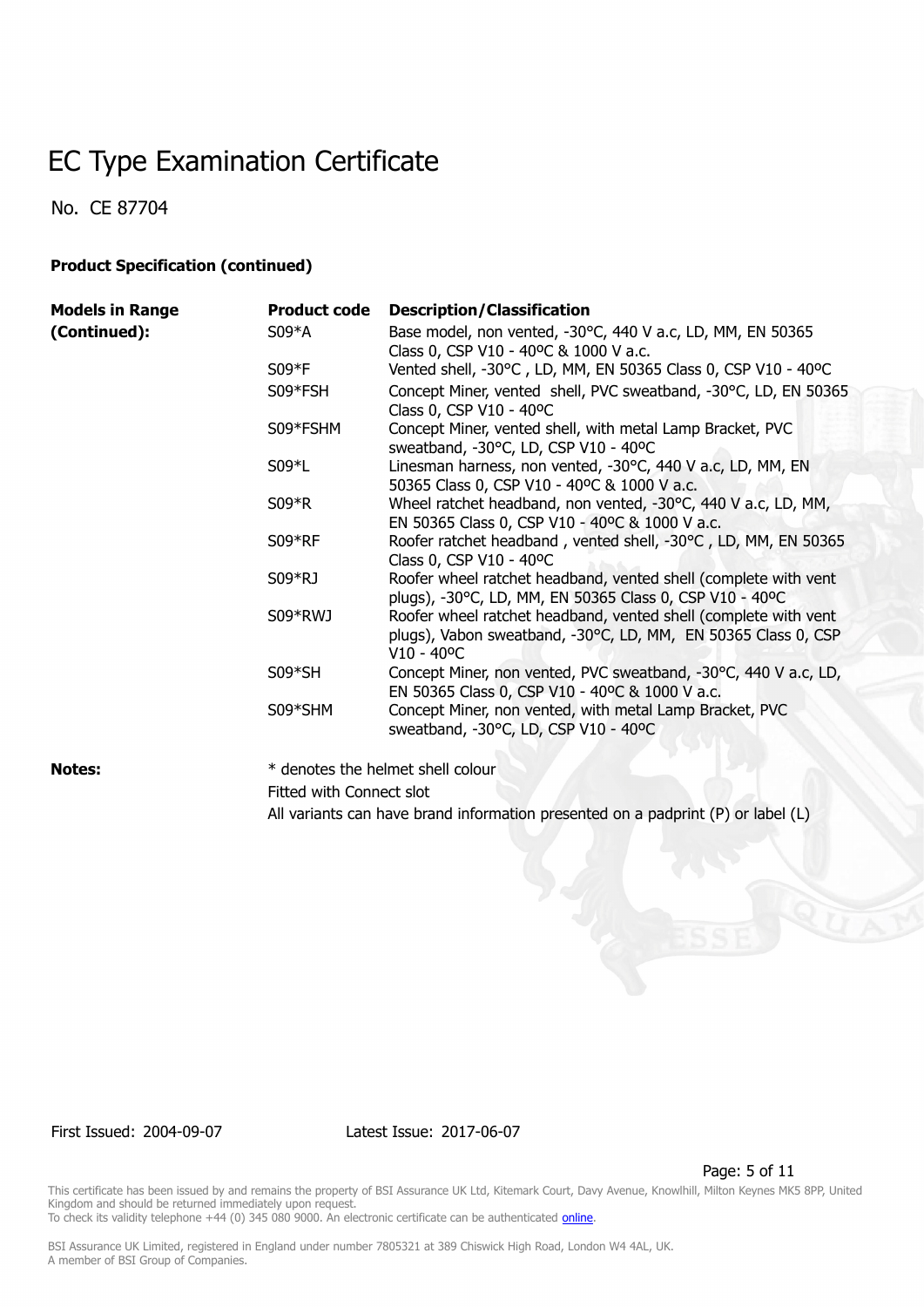No. CE 87704

#### **Product Specification (continued)**

| <b>Models in Range</b> | <b>Product code</b> | <b>Description/Classification</b>                                                                                                                       |
|------------------------|---------------------|---------------------------------------------------------------------------------------------------------------------------------------------------------|
| (Continued):           | $S09*A$             | Base model, non vented, -30°C, 440 V a.c, LD, MM, EN 50365<br>Class 0, CSP V10 - 40°C & 1000 V a.c.                                                     |
|                        | $S09*F$             | Vented shell, -30°C, LD, MM, EN 50365 Class 0, CSP V10 - 40°C                                                                                           |
|                        | S09*FSH             | Concept Miner, vented shell, PVC sweatband, -30°C, LD, EN 50365<br>Class 0, CSP V10 - 40°C                                                              |
|                        | S09*FSHM            | Concept Miner, vented shell, with metal Lamp Bracket, PVC<br>sweatband, -30°C, LD, CSP V10 - 40°C                                                       |
|                        | $S09*L$             | Linesman harness, non vented, -30°C, 440 V a.c, LD, MM, EN<br>50365 Class 0, CSP V10 - 40°C & 1000 V a.c.                                               |
|                        | $S09*R$             | Wheel ratchet headband, non vented, -30°C, 440 V a.c, LD, MM,<br>EN 50365 Class 0, CSP V10 - 40°C & 1000 V a.c.                                         |
|                        | $S09*RF$            | Roofer ratchet headband, vented shell, -30°C, LD, MM, EN 50365<br>Class 0, CSP V10 - 40°C                                                               |
|                        | S09*RJ              | Roofer wheel ratchet headband, vented shell (complete with vent<br>plugs), -30°C, LD, MM, EN 50365 Class 0, CSP V10 - 40°C                              |
|                        | S09*RWJ             | Roofer wheel ratchet headband, vented shell (complete with vent<br>plugs), Vabon sweatband, -30°C, LD, MM, EN 50365 Class 0, CSP<br>$V10 - 40^{\circ}C$ |
|                        | $S09*SH$            | Concept Miner, non vented, PVC sweatband, -30°C, 440 V a.c, LD,<br>EN 50365 Class 0, CSP V10 - 40°C & 1000 V a.c.                                       |
|                        | S09*SHM             | Concept Miner, non vented, with metal Lamp Bracket, PVC<br>sweatband, -30°C, LD, CSP V10 - 40°C                                                         |
|                        |                     |                                                                                                                                                         |

**Notes:**  $*$  denotes the helmet shell colour Fitted with Connect slot All variants can have brand information presented on a padprint (P) or label (L)

First Issued: 2004-09-07 Latest Issue: 2017-06-07

Page: 5 of 11

This certificate has been issued by and remains the property of BSI Assurance UK Ltd, Kitemark Court, Davy Avenue, Knowlhill, Milton Keynes MK5 8PP, United Kingdom and should be returned immediately upon request. To check its validity telephone +44 (0) 345 080 9000. An electronic certificate can be authenticated *[online](https://pgplus.bsigroup.com/CertificateValidation/CertificateValidator.aspx?CertificateNumber=CE+87704&ReIssueDate=07%2f06%2f2017&Template=uk)*.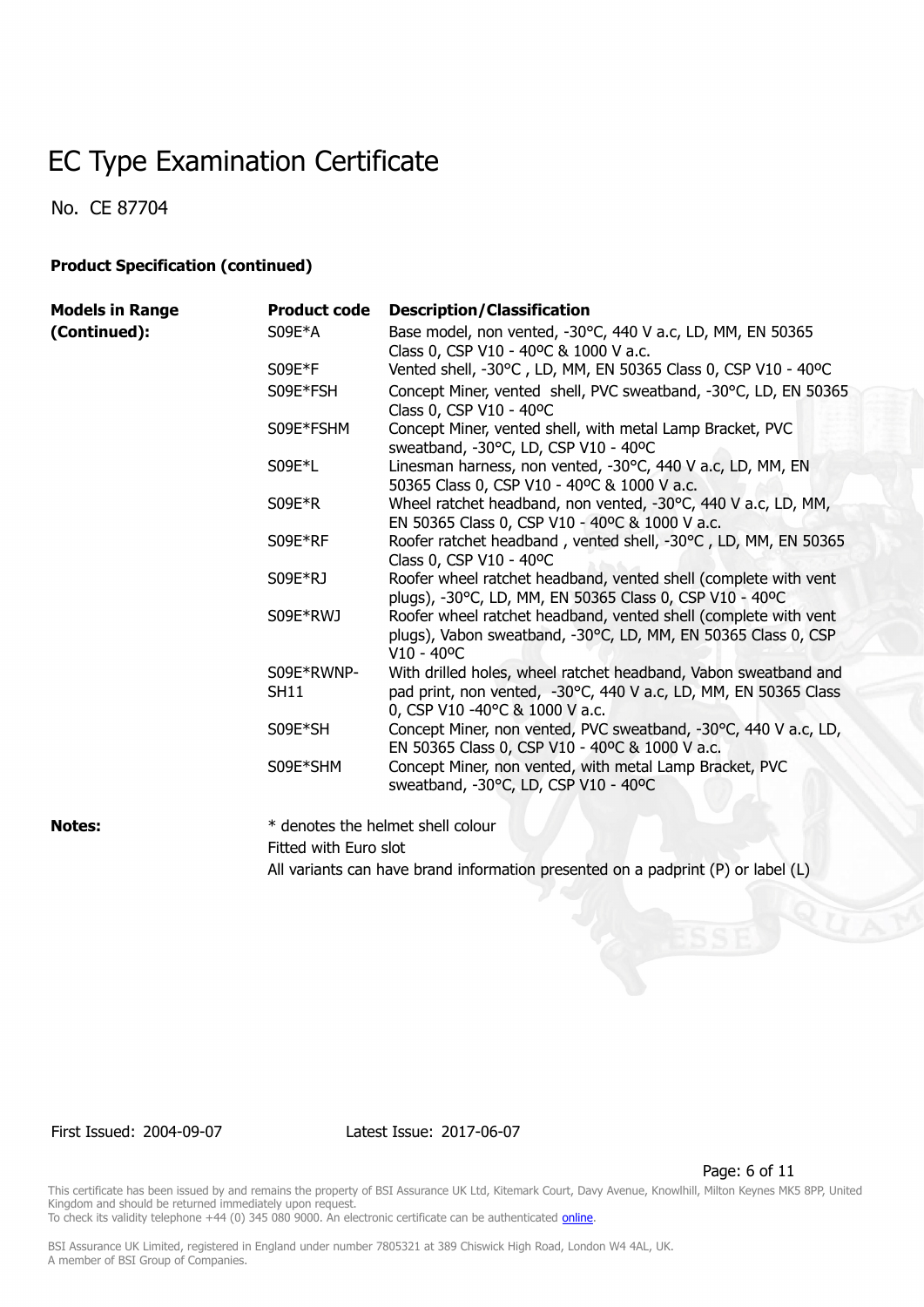No. CE 87704

#### **Product Specification (continued)**

| <b>Models in Range</b> | <b>Product code</b>       | <b>Description/Classification</b>                                                                                                                                    |
|------------------------|---------------------------|----------------------------------------------------------------------------------------------------------------------------------------------------------------------|
| (Continued):           | S09E*A                    | Base model, non vented, -30°C, 440 V a.c, LD, MM, EN 50365<br>Class 0, CSP V10 - 40°C & 1000 V a.c.                                                                  |
|                        | $S09E*F$                  | Vented shell, -30°C, LD, MM, EN 50365 Class 0, CSP V10 - 40°C                                                                                                        |
|                        | S09E*FSH                  | Concept Miner, vented shell, PVC sweatband, -30°C, LD, EN 50365<br>Class 0, CSP V10 - 40°C                                                                           |
|                        | S09E*FSHM                 | Concept Miner, vented shell, with metal Lamp Bracket, PVC<br>sweatband, -30°C, LD, CSP V10 - 40°C                                                                    |
|                        | S09E*L                    | Linesman harness, non vented, -30°C, 440 V a.c, LD, MM, EN<br>50365 Class 0, CSP V10 - 40°C & 1000 V a.c.                                                            |
|                        | $S09E*R$                  | Wheel ratchet headband, non vented, -30°C, 440 V a.c, LD, MM,<br>EN 50365 Class 0, CSP V10 - 40°C & 1000 V a.c.                                                      |
|                        | S09E*RF                   | Roofer ratchet headband, vented shell, -30°C, LD, MM, EN 50365<br>Class 0, CSP V10 - 40°C                                                                            |
|                        | S09E*RJ                   | Roofer wheel ratchet headband, vented shell (complete with vent<br>plugs), -30°C, LD, MM, EN 50365 Class 0, CSP V10 - 40°C                                           |
|                        | S09E*RWJ                  | Roofer wheel ratchet headband, vented shell (complete with vent<br>plugs), Vabon sweatband, -30°C, LD, MM, EN 50365 Class 0, CSP<br>$V10 - 40^{\circ}C$              |
|                        | S09E*RWNP-<br><b>SH11</b> | With drilled holes, wheel ratchet headband, Vabon sweatband and<br>pad print, non vented, -30°C, 440 V a.c, LD, MM, EN 50365 Class<br>0, CSP V10 -40°C & 1000 V a.c. |
|                        | S09E*SH                   | Concept Miner, non vented, PVC sweatband, -30°C, 440 V a.c, LD,<br>EN 50365 Class 0, CSP V10 - 40°C & 1000 V a.c.                                                    |
|                        | S09E*SHM                  | Concept Miner, non vented, with metal Lamp Bracket, PVC<br>sweatband, -30°C, LD, CSP V10 - 40°C                                                                      |

**Notes:**  $*$  denotes the helmet shell colour Fitted with Euro slot

All variants can have brand information presented on a padprint (P) or label (L)

First Issued: 2004-09-07 Latest Issue: 2017-06-07

Page: 6 of 11

This certificate has been issued by and remains the property of BSI Assurance UK Ltd, Kitemark Court, Davy Avenue, Knowlhill, Milton Keynes MK5 8PP, United Kingdom and should be returned immediately upon request. To check its validity telephone +44 (0) 345 080 9000. An electronic certificate can be authenticated *[online](https://pgplus.bsigroup.com/CertificateValidation/CertificateValidator.aspx?CertificateNumber=CE+87704&ReIssueDate=07%2f06%2f2017&Template=uk)*.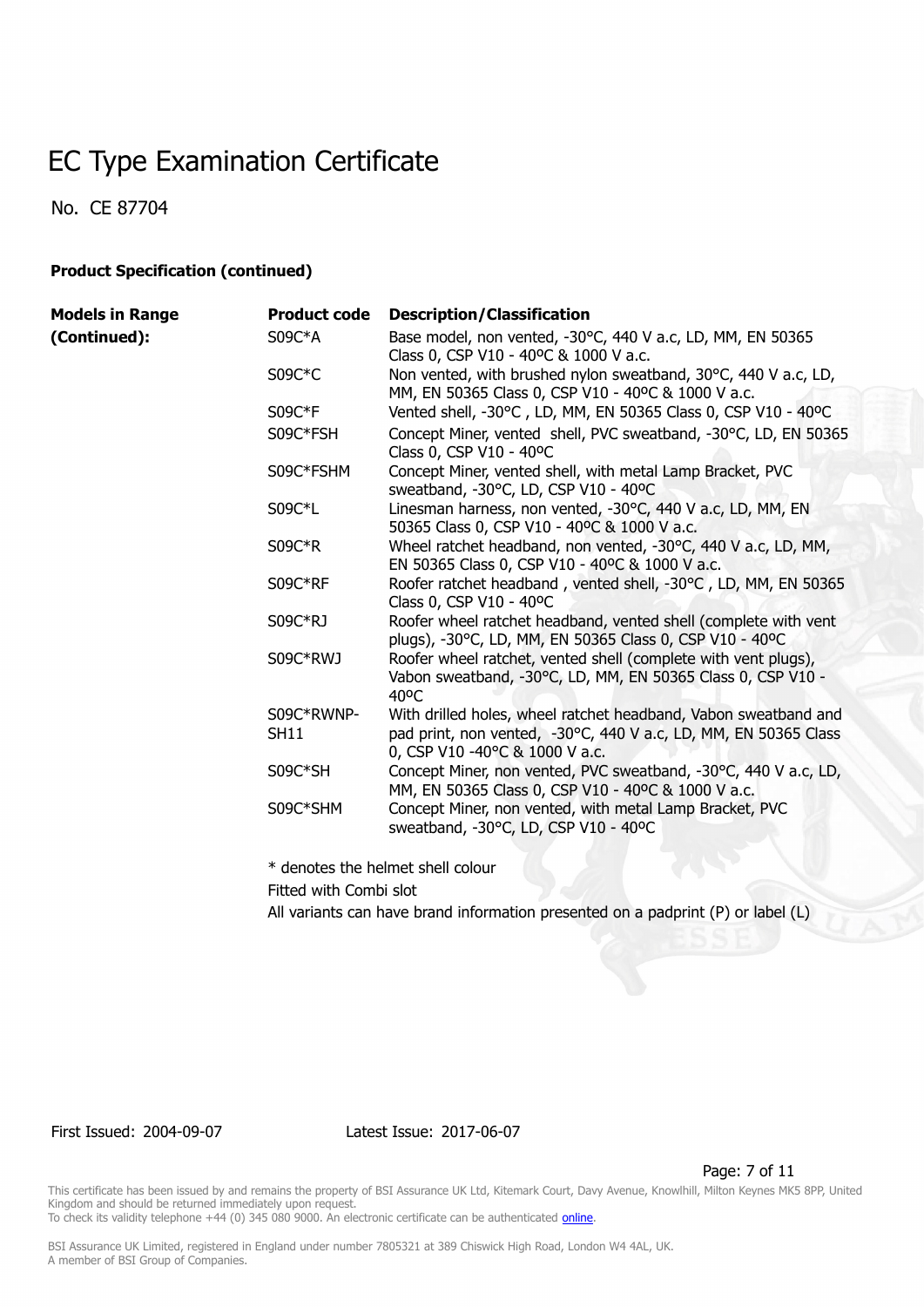No. CE 87704

#### **Product Specification (continued)**

| <b>Models in Range</b> | <b>Product code</b>       | <b>Description/Classification</b>                                                                                                                                    |
|------------------------|---------------------------|----------------------------------------------------------------------------------------------------------------------------------------------------------------------|
| (Continued):           | $S09C*A$                  | Base model, non vented, -30°C, 440 V a.c, LD, MM, EN 50365<br>Class 0, CSP V10 - 40°C & 1000 V a.c.                                                                  |
|                        | $S09C*C$                  | Non vented, with brushed nylon sweatband, 30°C, 440 V a.c, LD,<br>MM, EN 50365 Class 0, CSP V10 - 40°C & 1000 V a.c.                                                 |
|                        | S09C*F                    | Vented shell, -30°C, LD, MM, EN 50365 Class 0, CSP V10 - 40°C                                                                                                        |
|                        | S09C*FSH                  | Concept Miner, vented shell, PVC sweatband, -30°C, LD, EN 50365<br>Class 0, CSP V10 - 40°C                                                                           |
|                        | S09C*FSHM                 | Concept Miner, vented shell, with metal Lamp Bracket, PVC<br>sweatband, -30°C, LD, CSP V10 - 40°C                                                                    |
|                        | S09C*L                    | Linesman harness, non vented, -30°C, 440 V a.c, LD, MM, EN<br>50365 Class 0, CSP V10 - 40°C & 1000 V a.c.                                                            |
|                        | $S09C*R$                  | Wheel ratchet headband, non vented, -30°C, 440 V a.c, LD, MM,<br>EN 50365 Class 0, CSP V10 - 40°C & 1000 V a.c.                                                      |
|                        | S09C*RF                   | Roofer ratchet headband, vented shell, -30°C, LD, MM, EN 50365<br>Class 0, CSP V10 - 40°C                                                                            |
|                        | S09C*RJ                   | Roofer wheel ratchet headband, vented shell (complete with vent<br>plugs), -30°C, LD, MM, EN 50365 Class 0, CSP V10 - 40°C                                           |
|                        | S09C*RWJ                  | Roofer wheel ratchet, vented shell (complete with vent plugs),<br>Vabon sweatband, -30°C, LD, MM, EN 50365 Class 0, CSP V10 -<br>$40^{\circ}$ C                      |
|                        | S09C*RWNP-<br><b>SH11</b> | With drilled holes, wheel ratchet headband, Vabon sweatband and<br>pad print, non vented, -30°C, 440 V a.c, LD, MM, EN 50365 Class<br>0, CSP V10 -40°C & 1000 V a.c. |
|                        | S09C*SH                   | Concept Miner, non vented, PVC sweatband, -30°C, 440 V a.c, LD,<br>MM, EN 50365 Class 0, CSP V10 - 40°C & 1000 V a.c.                                                |
|                        | S09C*SHM                  | Concept Miner, non vented, with metal Lamp Bracket, PVC<br>sweatband, -30°C, LD, CSP V10 - 40°C                                                                      |
|                        |                           |                                                                                                                                                                      |

\* denotes the helmet shell colour

Fitted with Combi slot

All variants can have brand information presented on a padprint (P) or label (L)

#### First Issued: 2004-09-07 Latest Issue: 2017-06-07

Page: 7 of 11

This certificate has been issued by and remains the property of BSI Assurance UK Ltd, Kitemark Court, Davy Avenue, Knowlhill, Milton Keynes MK5 8PP, United Kingdom and should be returned immediately upon request.

To check its validity telephone +44 (0) 345 080 9000. An electronic certificate can be authenticated *[online](https://pgplus.bsigroup.com/CertificateValidation/CertificateValidator.aspx?CertificateNumber=CE+87704&ReIssueDate=07%2f06%2f2017&Template=uk)*.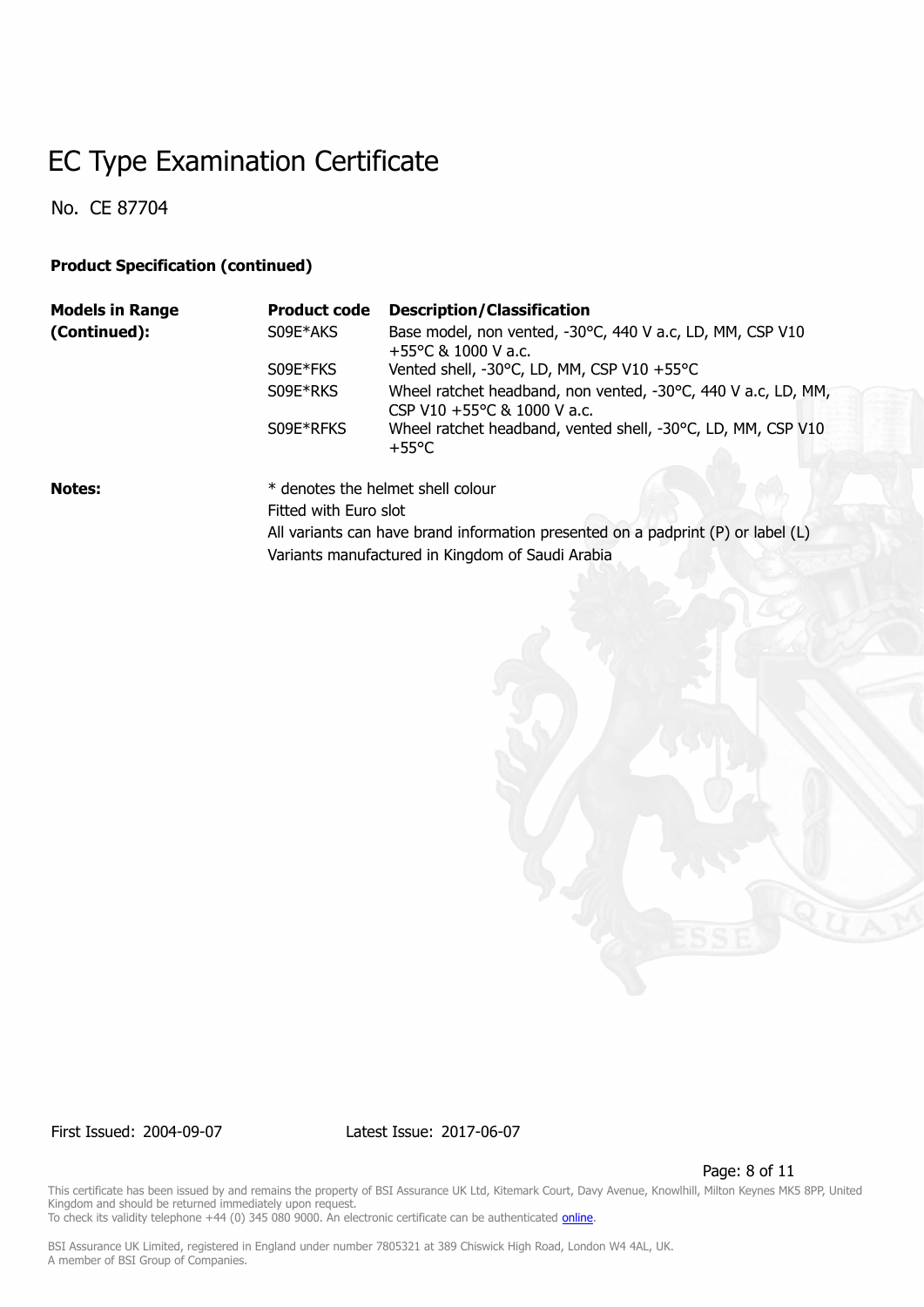No. CE 87704

#### **Product Specification (continued)**

| <b>Models in Range</b> | <b>Product code</b>   | <b>Description/Classification</b>                                                            |
|------------------------|-----------------------|----------------------------------------------------------------------------------------------|
| (Continued):           | S09E*AKS              | Base model, non vented, -30°C, 440 V a.c, LD, MM, CSP V10<br>$+55^{\circ}$ C & 1000 V a.c.   |
|                        | S09E*FKS              | Vented shell, -30°C, LD, MM, CSP V10 +55°C                                                   |
|                        | S09E*RKS              | Wheel ratchet headband, non vented, -30°C, 440 V a.c, LD, MM,<br>CSP V10 +55°C & 1000 V a.c. |
|                        | S09E*RFKS             | Wheel ratchet headband, vented shell, -30°C, LD, MM, CSP V10<br>$+55^{\circ}$ C              |
| <b>Notes:</b>          |                       | * denotes the helmet shell colour                                                            |
|                        | Fitted with Euro slot |                                                                                              |

All variants can have brand information presented on a padprint (P) or label (L) Variants manufactured in Kingdom of Saudi Arabia

First Issued: 2004-09-07 Latest Issue: 2017-06-07

Page: 8 of 11

This certificate has been issued by and remains the property of BSI Assurance UK Ltd, Kitemark Court, Davy Avenue, Knowlhill, Milton Keynes MK5 8PP, United Kingdom and should be returned immediately upon request. To check its validity telephone +44 (0) 345 080 9000. An electronic certificate can be authenticated *[online](https://pgplus.bsigroup.com/CertificateValidation/CertificateValidator.aspx?CertificateNumber=CE+87704&ReIssueDate=07%2f06%2f2017&Template=uk)*.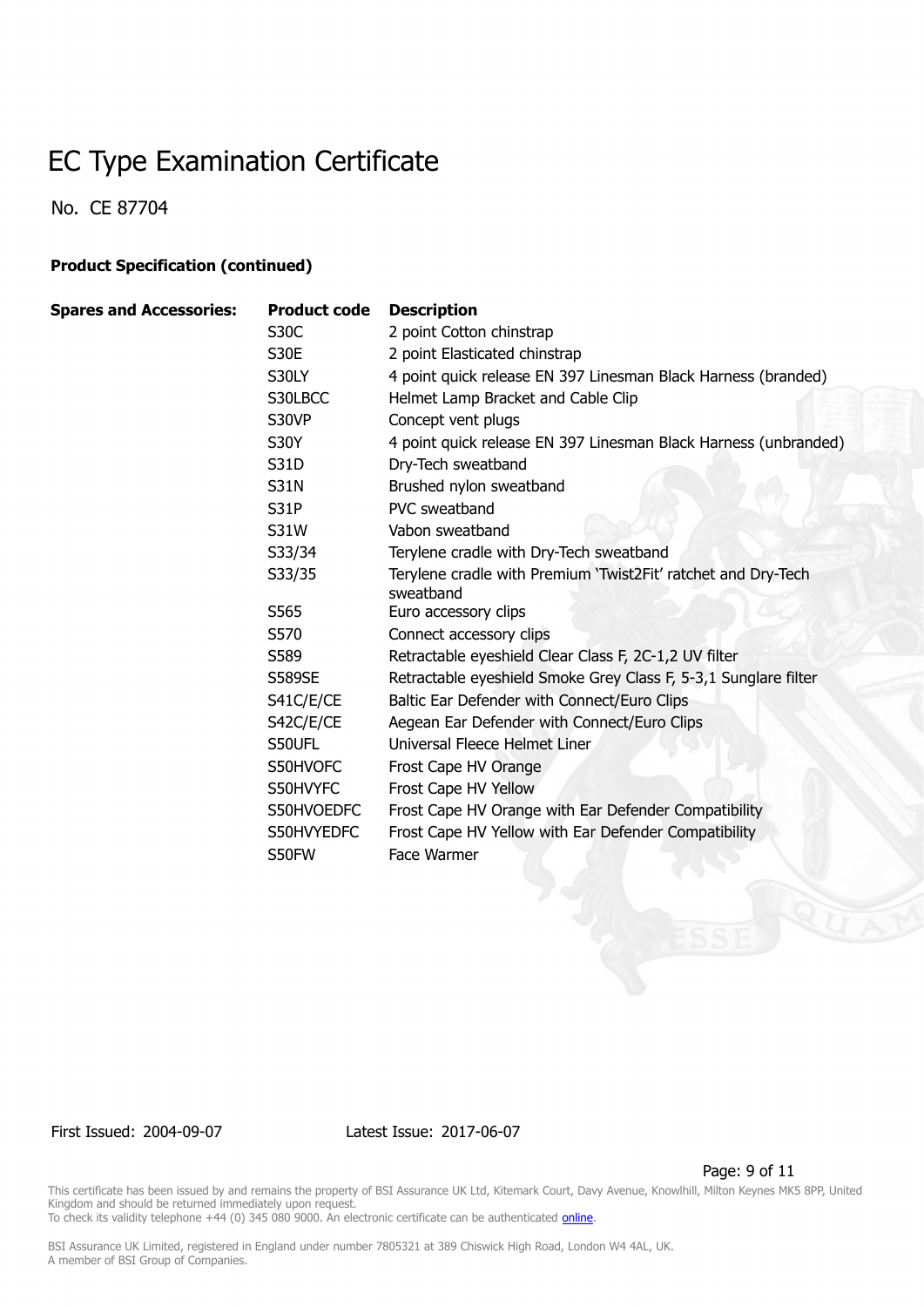No. CE 87704

#### **Product Specification (continued)**

| <b>Spares and Accessories:</b> | <b>Product code</b> | <b>Description</b>                                                         |
|--------------------------------|---------------------|----------------------------------------------------------------------------|
|                                | S <sub>30</sub> C   | 2 point Cotton chinstrap                                                   |
|                                | S30E                | 2 point Elasticated chinstrap                                              |
|                                | S30LY               | 4 point quick release EN 397 Linesman Black Harness (branded)              |
|                                | S30LBCC             | Helmet Lamp Bracket and Cable Clip                                         |
|                                | S30VP               | Concept vent plugs                                                         |
|                                | <b>S30Y</b>         | 4 point quick release EN 397 Linesman Black Harness (unbranded)            |
|                                | S31D                | Dry-Tech sweatband                                                         |
|                                | <b>S31N</b>         | Brushed nylon sweatband                                                    |
|                                | S31P                | PVC sweatband                                                              |
|                                | S31W                | Vabon sweatband                                                            |
|                                | S33/34              | Terylene cradle with Dry-Tech sweatband                                    |
|                                | S33/35              | Terylene cradle with Premium 'Twist2Fit' ratchet and Dry-Tech<br>sweatband |
|                                | S565                | Euro accessory clips                                                       |
|                                | S570                | Connect accessory clips                                                    |
|                                | S589                | Retractable eyeshield Clear Class F, 2C-1,2 UV filter                      |
|                                | <b>S589SE</b>       | Retractable eyeshield Smoke Grey Class F, 5-3,1 Sunglare filter            |
|                                | S41C/E/CE           | Baltic Ear Defender with Connect/Euro Clips                                |
|                                | S42C/E/CE           | Aegean Ear Defender with Connect/Euro Clips                                |
|                                | S50UFL              | Universal Fleece Helmet Liner                                              |
|                                | S50HVOFC            | Frost Cape HV Orange                                                       |
|                                | S50HVYFC            | Frost Cape HV Yellow                                                       |
|                                | S50HVOEDFC          | Frost Cape HV Orange with Ear Defender Compatibility                       |
|                                | S50HVYEDFC          | Frost Cape HV Yellow with Ear Defender Compatibility                       |
|                                | S50FW               | Face Warmer                                                                |
|                                |                     |                                                                            |

First Issued: 2004-09-07 Latest Issue: 2017-06-07

Page: 9 of 11

This certificate has been issued by and remains the property of BSI Assurance UK Ltd, Kitemark Court, Davy Avenue, Knowlhill, Milton Keynes MK5 8PP, United Kingdom and should be returned immediately upon request.

To check its validity telephone +44 (0) 345 080 9000. An electronic certificate can be authenticated *[online](https://pgplus.bsigroup.com/CertificateValidation/CertificateValidator.aspx?CertificateNumber=CE+87704&ReIssueDate=07%2f06%2f2017&Template=uk)*.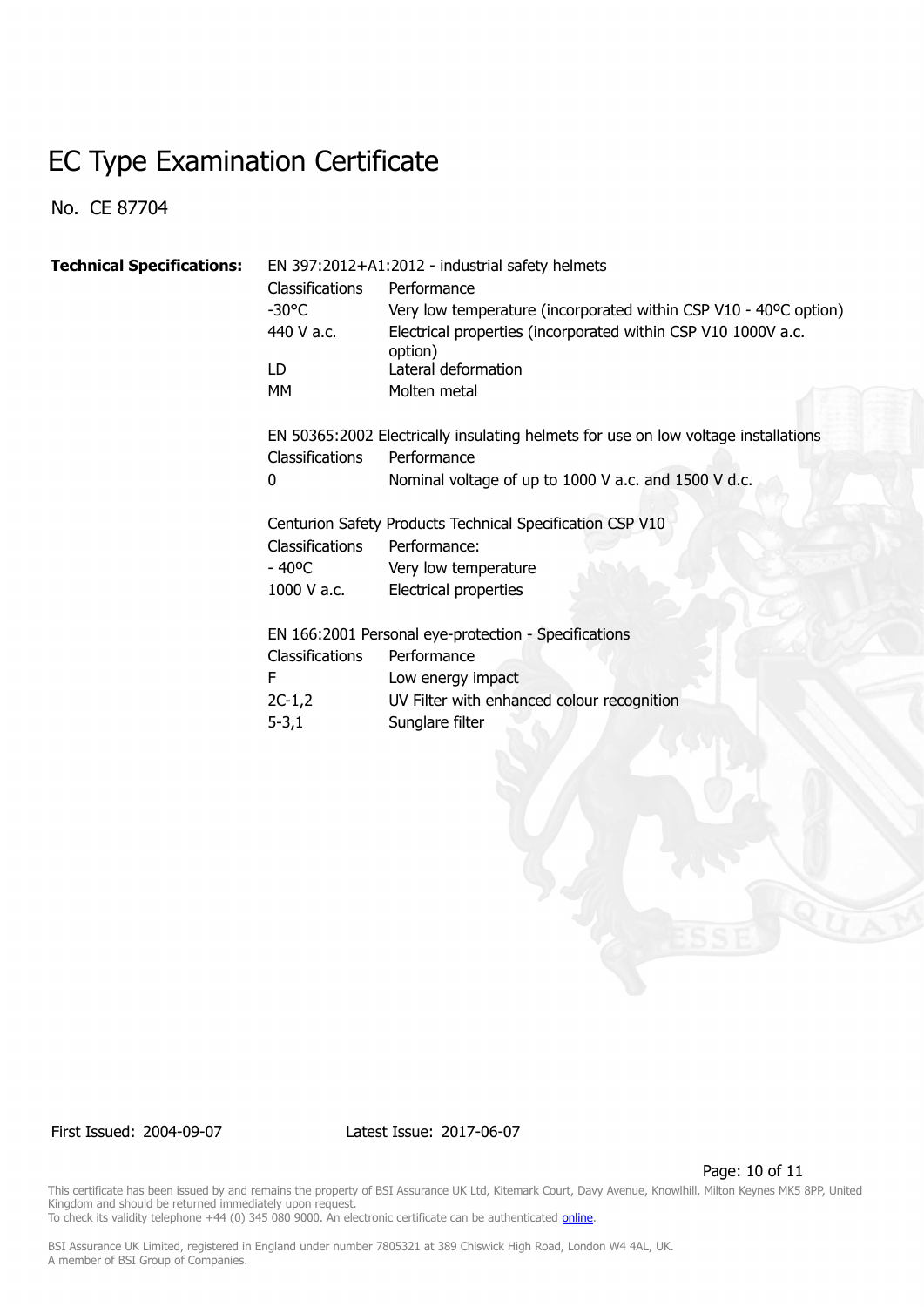No. CE 87704

| <b>Technical Specifications:</b> | EN 397:2012+A1:2012 - industrial safety helmets |                                                                                    |  |
|----------------------------------|-------------------------------------------------|------------------------------------------------------------------------------------|--|
|                                  | <b>Classifications</b>                          | Performance                                                                        |  |
|                                  | $-30^{\circ}$ C                                 | Very low temperature (incorporated within CSP V10 - 40°C option)                   |  |
|                                  | 440 V a.c.                                      | Electrical properties (incorporated within CSP V10 1000V a.c.<br>option)           |  |
|                                  | LD.                                             | Lateral deformation                                                                |  |
|                                  | МM                                              | Molten metal                                                                       |  |
|                                  |                                                 | EN 50365:2002 Electrically insulating helmets for use on low voltage installations |  |
|                                  | <b>Classifications</b>                          | Performance                                                                        |  |
|                                  | 0                                               | Nominal voltage of up to 1000 V a.c. and 1500 V d.c.                               |  |
|                                  |                                                 | Centurion Safety Products Technical Specification CSP V10                          |  |
|                                  | Classifications                                 | Performance:                                                                       |  |
|                                  | $-40^{\circ}$ C                                 | Very low temperature                                                               |  |
|                                  | 1000 V a.c.                                     | Electrical properties                                                              |  |
|                                  |                                                 | EN 166:2001 Personal eye-protection - Specifications                               |  |
|                                  | <b>Classifications</b>                          | Performance                                                                        |  |
|                                  | F                                               | Low energy impact                                                                  |  |
|                                  | 2C-1,2                                          | UV Filter with enhanced colour recognition                                         |  |
|                                  | $5 - 3,1$                                       | Sunglare filter                                                                    |  |

First Issued: 2004-09-07 Latest Issue: 2017-06-07

Page: 10 of 11

This certificate has been issued by and remains the property of BSI Assurance UK Ltd, Kitemark Court, Davy Avenue, Knowlhill, Milton Keynes MK5 8PP, United Kingdom and should be returned immediately upon request. To check its validity telephone +44 (0) 345 080 9000. An electronic certificate can be authenticated *[online](https://pgplus.bsigroup.com/CertificateValidation/CertificateValidator.aspx?CertificateNumber=CE+87704&ReIssueDate=07%2f06%2f2017&Template=uk)*.